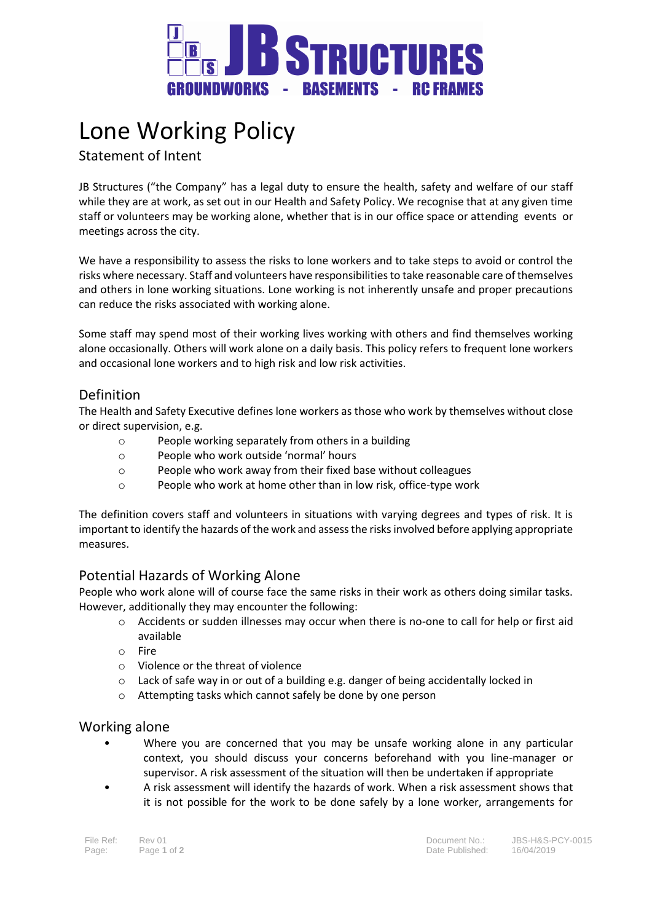

# Lone Working Policy

Statement of Intent

JB Structures ("the Company" has a legal duty to ensure the health, safety and welfare of our staff while they are at work, as set out in our Health and Safety Policy. We recognise that at any given time staff or volunteers may be working alone, whether that is in our office space or attending events or meetings across the city.

We have a responsibility to assess the risks to lone workers and to take steps to avoid or control the risks where necessary. Staff and volunteers have responsibilities to take reasonable care of themselves and others in lone working situations. Lone working is not inherently unsafe and proper precautions can reduce the risks associated with working alone.

Some staff may spend most of their working lives working with others and find themselves working alone occasionally. Others will work alone on a daily basis. This policy refers to frequent lone workers and occasional lone workers and to high risk and low risk activities.

# Definition

The Health and Safety Executive defines lone workers as those who work by themselves without close or direct supervision, e.g.

- o People working separately from others in a building
- o People who work outside 'normal' hours
- o People who work away from their fixed base without colleagues
- o People who work at home other than in low risk, office-type work

The definition covers staff and volunteers in situations with varying degrees and types of risk. It is important to identify the hazards of the work and assess the risks involved before applying appropriate measures.

# Potential Hazards of Working Alone

People who work alone will of course face the same risks in their work as others doing similar tasks. However, additionally they may encounter the following:

- o Accidents or sudden illnesses may occur when there is no-one to call for help or first aid available
- o Fire
- o Violence or the threat of violence
- $\circ$  Lack of safe way in or out of a building e.g. danger of being accidentally locked in
- o Attempting tasks which cannot safely be done by one person

## Working alone

- Where you are concerned that you may be unsafe working alone in any particular context, you should discuss your concerns beforehand with you line-manager or supervisor. A risk assessment of the situation will then be undertaken if appropriate
- A risk assessment will identify the hazards of work. When a risk assessment shows that it is not possible for the work to be done safely by a lone worker, arrangements for